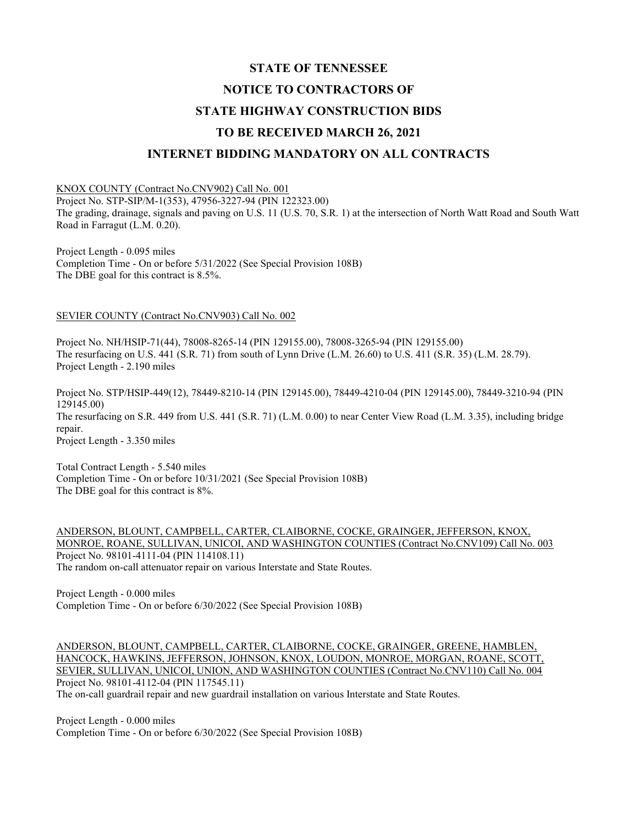# STATE OF TENNESSEE NOTICE TO CONTRACTORS OF STATE HIGHWAY CONSTRUCTION BIDS TO BE RECEIVED MARCH 26, 2021 INTERNET BIDDING MANDATORY ON ALL CONTRACTS

#### KNOX COUNTY (Contract No.CNV902) Call No. 001

Project No. STP-SIP/M-1(353), 47956-3227-94 (PIN 122323.00)

The grading, drainage, signals and paving on U.S. 11 (U.S. 70, S.R. 1) at the intersection of North Watt Road and South Watt Road in Farragut (L.M. 0.20).

Project Length - 0.095 miles Completion Time - On or before 5/31/2022 (See Special Provision 108B) The DBE goal for this contract is 8.5%.

#### SEVIER COUNTY (Contract No.CNV903) Call No. 002

Project No. NH/HSIP-71(44), 78008-8265-14 (PIN 129155.00), 78008-3265-94 (PIN 129155.00) The resurfacing on U.S. 441 (S.R. 71) from south of Lynn Drive (L.M. 26.60) to U.S. 411 (S.R. 35) (L.M. 28.79). Project Length - 2.190 miles

Project No. STP/HSIP-449(12), 78449-8210-14 (PIN 129145.00), 78449-4210-04 (PIN 129145.00), 78449-3210-94 (PIN 129145.00) The resurfacing on S.R. 449 from U.S. 441 (S.R. 71) (L.M. 0.00) to near Center View Road (L.M. 3.35), including bridge repair. Project Length - 3.350 miles

Total Contract Length - 5.540 miles Completion Time - On or before 10/31/2021 (See Special Provision 108B) The DBE goal for this contract is 8%.

ANDERSON, BLOUNT, CAMPBELL, CARTER, CLAIBORNE, COCKE, GRAINGER, JEFFERSON, KNOX, MONROE, ROANE, SULLIVAN, UNICOI, AND WASHINGTON COUNTIES (Contract No.CNV109) Call No. 003 Project No. 98101-4111-04 (PIN 114108.11) The random on-call attenuator repair on various Interstate and State Routes.

Project Length - 0.000 miles Completion Time - On or before 6/30/2022 (See Special Provision 108B)

ANDERSON, BLOUNT, CAMPBELL, CARTER, CLAIBORNE, COCKE, GRAINGER, GREENE, HAMBLEN, HANCOCK, HAWKINS, JEFFERSON, JOHNSON, KNOX, LOUDON, MONROE, MORGAN, ROANE, SCOTT, SEVIER, SULLIVAN, UNICOI, UNION, AND WASHINGTON COUNTIES (Contract No.CNV110) Call No. 004 Project No. 98101-4112-04 (PIN 117545.11) The on-call guardrail repair and new guardrail installation on various Interstate and State Routes.

Project Length - 0.000 miles Completion Time - On or before 6/30/2022 (See Special Provision 108B)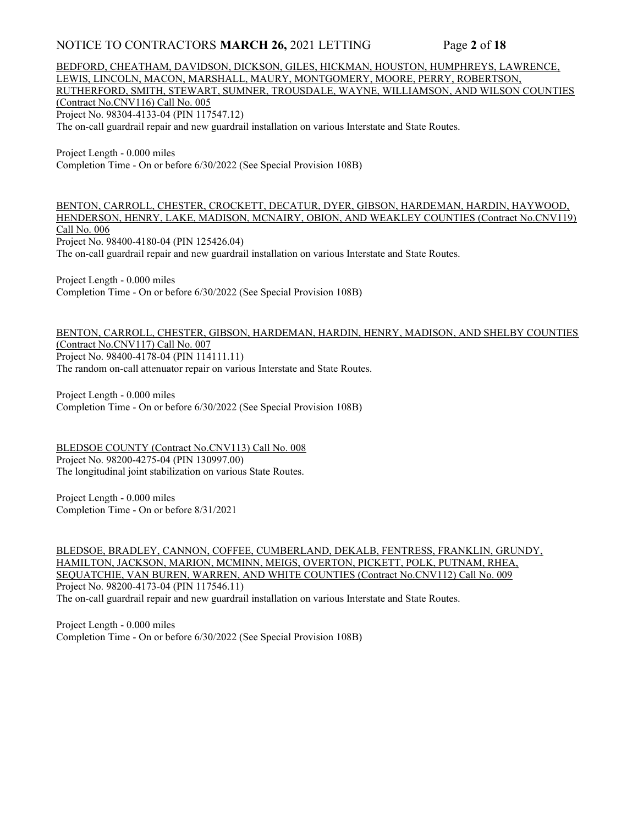### NOTICE TO CONTRACTORS MARCH 26, 2021 LETTING Page 2 of 18

BEDFORD, CHEATHAM, DAVIDSON, DICKSON, GILES, HICKMAN, HOUSTON, HUMPHREYS, LAWRENCE, LEWIS, LINCOLN, MACON, MARSHALL, MAURY, MONTGOMERY, MOORE, PERRY, ROBERTSON, RUTHERFORD, SMITH, STEWART, SUMNER, TROUSDALE, WAYNE, WILLIAMSON, AND WILSON COUNTIES (Contract No.CNV116) Call No. 005 Project No. 98304-4133-04 (PIN 117547.12) The on-call guardrail repair and new guardrail installation on various Interstate and State Routes.

Project Length - 0.000 miles Completion Time - On or before 6/30/2022 (See Special Provision 108B)

BENTON, CARROLL, CHESTER, CROCKETT, DECATUR, DYER, GIBSON, HARDEMAN, HARDIN, HAYWOOD, HENDERSON, HENRY, LAKE, MADISON, MCNAIRY, OBION, AND WEAKLEY COUNTIES (Contract No.CNV119) Call No. 006 Project No. 98400-4180-04 (PIN 125426.04) The on-call guardrail repair and new guardrail installation on various Interstate and State Routes.

Project Length - 0.000 miles Completion Time - On or before 6/30/2022 (See Special Provision 108B)

#### BENTON, CARROLL, CHESTER, GIBSON, HARDEMAN, HARDIN, HENRY, MADISON, AND SHELBY COUNTIES (Contract No.CNV117) Call No. 007 Project No. 98400-4178-04 (PIN 114111.11) The random on-call attenuator repair on various Interstate and State Routes.

Project Length - 0.000 miles Completion Time - On or before 6/30/2022 (See Special Provision 108B)

BLEDSOE COUNTY (Contract No.CNV113) Call No. 008 Project No. 98200-4275-04 (PIN 130997.00) The longitudinal joint stabilization on various State Routes.

Project Length - 0.000 miles Completion Time - On or before 8/31/2021

BLEDSOE, BRADLEY, CANNON, COFFEE, CUMBERLAND, DEKALB, FENTRESS, FRANKLIN, GRUNDY, HAMILTON, JACKSON, MARION, MCMINN, MEIGS, OVERTON, PICKETT, POLK, PUTNAM, RHEA, SEQUATCHIE, VAN BUREN, WARREN, AND WHITE COUNTIES (Contract No.CNV112) Call No. 009 Project No. 98200-4173-04 (PIN 117546.11) The on-call guardrail repair and new guardrail installation on various Interstate and State Routes.

Project Length - 0.000 miles Completion Time - On or before 6/30/2022 (See Special Provision 108B)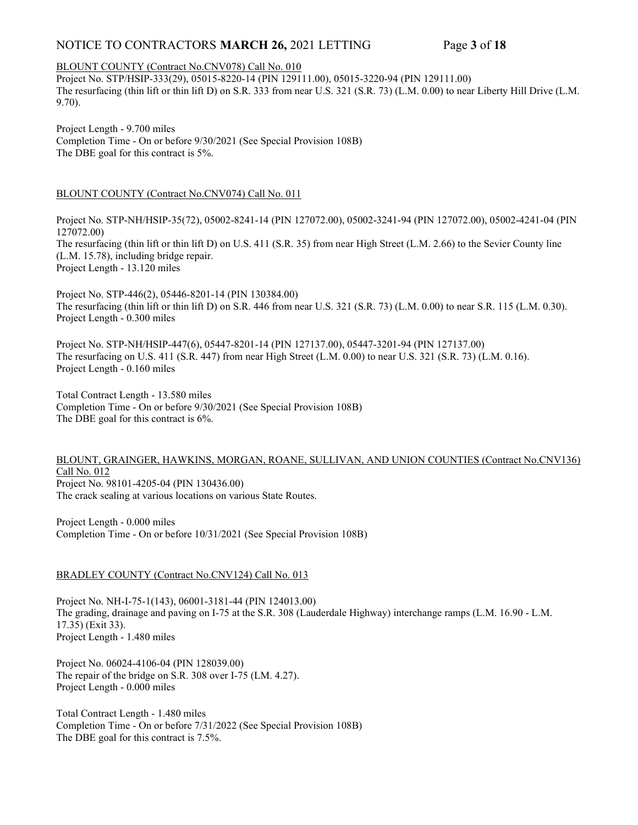# NOTICE TO CONTRACTORS MARCH 26, 2021 LETTING Page 3 of 18

#### BLOUNT COUNTY (Contract No.CNV078) Call No. 010

Project No. STP/HSIP-333(29), 05015-8220-14 (PIN 129111.00), 05015-3220-94 (PIN 129111.00) The resurfacing (thin lift or thin lift D) on S.R. 333 from near U.S. 321 (S.R. 73) (L.M. 0.00) to near Liberty Hill Drive (L.M. 9.70).

Project Length - 9.700 miles Completion Time - On or before 9/30/2021 (See Special Provision 108B) The DBE goal for this contract is 5%.

### BLOUNT COUNTY (Contract No.CNV074) Call No. 011

Project No. STP-NH/HSIP-35(72), 05002-8241-14 (PIN 127072.00), 05002-3241-94 (PIN 127072.00), 05002-4241-04 (PIN 127072.00) The resurfacing (thin lift or thin lift D) on U.S. 411 (S.R. 35) from near High Street (L.M. 2.66) to the Sevier County line (L.M. 15.78), including bridge repair.

Project Length - 13.120 miles

Project No. STP-446(2), 05446-8201-14 (PIN 130384.00) The resurfacing (thin lift or thin lift D) on S.R. 446 from near U.S. 321 (S.R. 73) (L.M. 0.00) to near S.R. 115 (L.M. 0.30). Project Length - 0.300 miles

Project No. STP-NH/HSIP-447(6), 05447-8201-14 (PIN 127137.00), 05447-3201-94 (PIN 127137.00) The resurfacing on U.S. 411 (S.R. 447) from near High Street (L.M. 0.00) to near U.S. 321 (S.R. 73) (L.M. 0.16). Project Length - 0.160 miles

Total Contract Length - 13.580 miles Completion Time - On or before 9/30/2021 (See Special Provision 108B) The DBE goal for this contract is 6%.

#### BLOUNT, GRAINGER, HAWKINS, MORGAN, ROANE, SULLIVAN, AND UNION COUNTIES (Contract No.CNV136) Call No. 012 Project No. 98101-4205-04 (PIN 130436.00) The crack sealing at various locations on various State Routes.

Project Length - 0.000 miles Completion Time - On or before 10/31/2021 (See Special Provision 108B)

### BRADLEY COUNTY (Contract No.CNV124) Call No. 013

Project No. NH-I-75-1(143), 06001-3181-44 (PIN 124013.00) The grading, drainage and paving on I-75 at the S.R. 308 (Lauderdale Highway) interchange ramps (L.M. 16.90 - L.M. 17.35) (Exit 33). Project Length - 1.480 miles

Project No. 06024-4106-04 (PIN 128039.00) The repair of the bridge on S.R. 308 over I-75 (LM. 4.27). Project Length - 0.000 miles

Total Contract Length - 1.480 miles Completion Time - On or before 7/31/2022 (See Special Provision 108B) The DBE goal for this contract is 7.5%.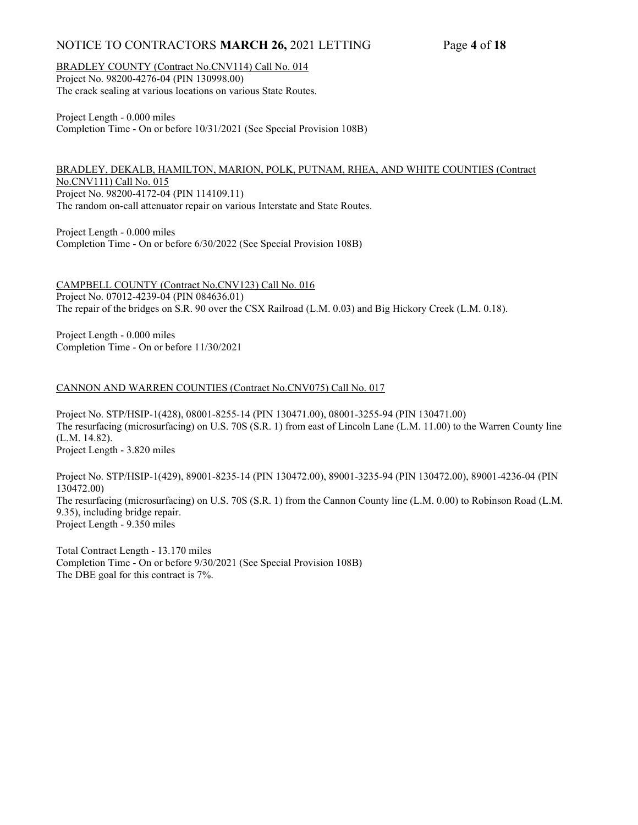# NOTICE TO CONTRACTORS MARCH 26, 2021 LETTING Page 4 of 18

BRADLEY COUNTY (Contract No.CNV114) Call No. 014 Project No. 98200-4276-04 (PIN 130998.00) The crack sealing at various locations on various State Routes.

Project Length - 0.000 miles Completion Time - On or before 10/31/2021 (See Special Provision 108B)

BRADLEY, DEKALB, HAMILTON, MARION, POLK, PUTNAM, RHEA, AND WHITE COUNTIES (Contract No.CNV111) Call No. 015 Project No. 98200-4172-04 (PIN 114109.11) The random on-call attenuator repair on various Interstate and State Routes.

Project Length - 0.000 miles Completion Time - On or before 6/30/2022 (See Special Provision 108B)

CAMPBELL COUNTY (Contract No.CNV123) Call No. 016 Project No. 07012-4239-04 (PIN 084636.01) The repair of the bridges on S.R. 90 over the CSX Railroad (L.M. 0.03) and Big Hickory Creek (L.M. 0.18).

Project Length - 0.000 miles Completion Time - On or before 11/30/2021

### CANNON AND WARREN COUNTIES (Contract No.CNV075) Call No. 017

Project No. STP/HSIP-1(428), 08001-8255-14 (PIN 130471.00), 08001-3255-94 (PIN 130471.00) The resurfacing (microsurfacing) on U.S. 70S (S.R. 1) from east of Lincoln Lane (L.M. 11.00) to the Warren County line (L.M. 14.82). Project Length - 3.820 miles

Project No. STP/HSIP-1(429), 89001-8235-14 (PIN 130472.00), 89001-3235-94 (PIN 130472.00), 89001-4236-04 (PIN 130472.00) The resurfacing (microsurfacing) on U.S. 70S (S.R. 1) from the Cannon County line (L.M. 0.00) to Robinson Road (L.M. 9.35), including bridge repair. Project Length - 9.350 miles

Total Contract Length - 13.170 miles Completion Time - On or before 9/30/2021 (See Special Provision 108B) The DBE goal for this contract is 7%.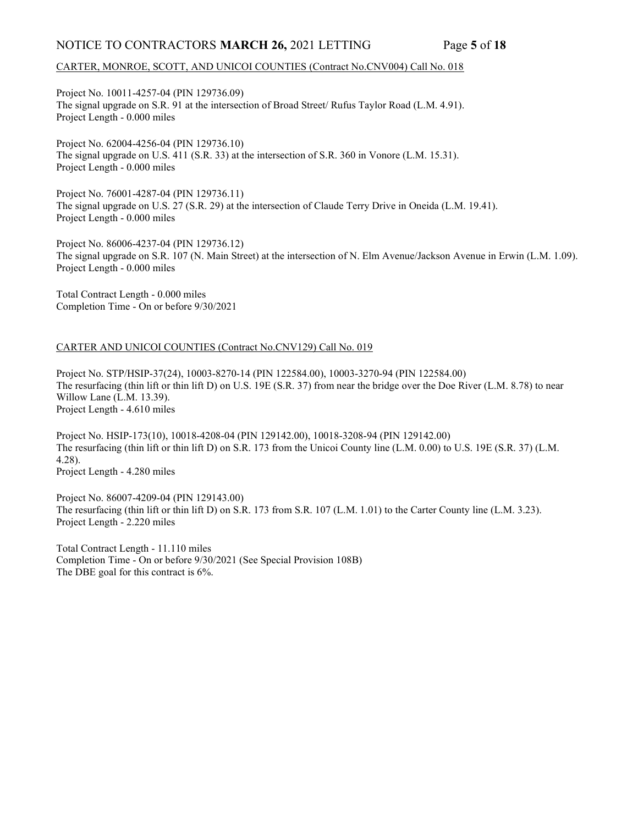### NOTICE TO CONTRACTORS MARCH 26, 2021 LETTING Page 5 of 18

#### CARTER, MONROE, SCOTT, AND UNICOI COUNTIES (Contract No.CNV004) Call No. 018

Project No. 10011-4257-04 (PIN 129736.09) The signal upgrade on S.R. 91 at the intersection of Broad Street/ Rufus Taylor Road (L.M. 4.91). Project Length - 0.000 miles

Project No. 62004-4256-04 (PIN 129736.10) The signal upgrade on U.S. 411 (S.R. 33) at the intersection of S.R. 360 in Vonore (L.M. 15.31). Project Length - 0.000 miles

Project No. 76001-4287-04 (PIN 129736.11) The signal upgrade on U.S. 27 (S.R. 29) at the intersection of Claude Terry Drive in Oneida (L.M. 19.41). Project Length - 0.000 miles

Project No. 86006-4237-04 (PIN 129736.12) The signal upgrade on S.R. 107 (N. Main Street) at the intersection of N. Elm Avenue/Jackson Avenue in Erwin (L.M. 1.09). Project Length - 0.000 miles

Total Contract Length - 0.000 miles Completion Time - On or before 9/30/2021

#### CARTER AND UNICOI COUNTIES (Contract No.CNV129) Call No. 019

Project No. STP/HSIP-37(24), 10003-8270-14 (PIN 122584.00), 10003-3270-94 (PIN 122584.00) The resurfacing (thin lift or thin lift D) on U.S. 19E (S.R. 37) from near the bridge over the Doe River (L.M. 8.78) to near Willow Lane (L.M. 13.39). Project Length - 4.610 miles

Project No. HSIP-173(10), 10018-4208-04 (PIN 129142.00), 10018-3208-94 (PIN 129142.00) The resurfacing (thin lift or thin lift D) on S.R. 173 from the Unicoi County line (L.M. 0.00) to U.S. 19E (S.R. 37) (L.M. 4.28). Project Length - 4.280 miles

Project No. 86007-4209-04 (PIN 129143.00) The resurfacing (thin lift or thin lift D) on S.R. 173 from S.R. 107 (L.M. 1.01) to the Carter County line (L.M. 3.23). Project Length - 2.220 miles

Total Contract Length - 11.110 miles Completion Time - On or before 9/30/2021 (See Special Provision 108B) The DBE goal for this contract is 6%.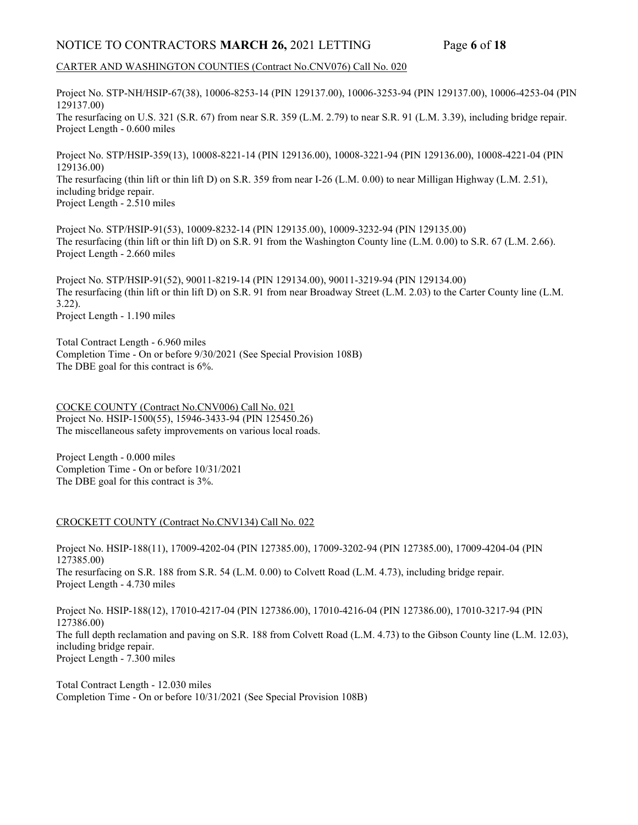# NOTICE TO CONTRACTORS MARCH 26, 2021 LETTING Page 6 of 18

### CARTER AND WASHINGTON COUNTIES (Contract No.CNV076) Call No. 020

Project No. STP-NH/HSIP-67(38), 10006-8253-14 (PIN 129137.00), 10006-3253-94 (PIN 129137.00), 10006-4253-04 (PIN 129137.00) The resurfacing on U.S. 321 (S.R. 67) from near S.R. 359 (L.M. 2.79) to near S.R. 91 (L.M. 3.39), including bridge repair. Project Length - 0.600 miles

Project No. STP/HSIP-359(13), 10008-8221-14 (PIN 129136.00), 10008-3221-94 (PIN 129136.00), 10008-4221-04 (PIN 129136.00) The resurfacing (thin lift or thin lift D) on S.R. 359 from near I-26 (L.M. 0.00) to near Milligan Highway (L.M. 2.51), including bridge repair. Project Length - 2.510 miles

Project No. STP/HSIP-91(53), 10009-8232-14 (PIN 129135.00), 10009-3232-94 (PIN 129135.00) The resurfacing (thin lift or thin lift D) on S.R. 91 from the Washington County line (L.M. 0.00) to S.R. 67 (L.M. 2.66). Project Length - 2.660 miles

Project No. STP/HSIP-91(52), 90011-8219-14 (PIN 129134.00), 90011-3219-94 (PIN 129134.00) The resurfacing (thin lift or thin lift D) on S.R. 91 from near Broadway Street (L.M. 2.03) to the Carter County line (L.M. 3.22).

Project Length - 1.190 miles

Total Contract Length - 6.960 miles Completion Time - On or before 9/30/2021 (See Special Provision 108B) The DBE goal for this contract is 6%.

COCKE COUNTY (Contract No.CNV006) Call No. 021 Project No. HSIP-1500(55), 15946-3433-94 (PIN 125450.26) The miscellaneous safety improvements on various local roads.

Project Length - 0.000 miles Completion Time - On or before 10/31/2021 The DBE goal for this contract is 3%.

### CROCKETT COUNTY (Contract No.CNV134) Call No. 022

Project No. HSIP-188(11), 17009-4202-04 (PIN 127385.00), 17009-3202-94 (PIN 127385.00), 17009-4204-04 (PIN 127385.00) The resurfacing on S.R. 188 from S.R. 54 (L.M. 0.00) to Colvett Road (L.M. 4.73), including bridge repair. Project Length - 4.730 miles

Project No. HSIP-188(12), 17010-4217-04 (PIN 127386.00), 17010-4216-04 (PIN 127386.00), 17010-3217-94 (PIN 127386.00) The full depth reclamation and paving on S.R. 188 from Colvett Road (L.M. 4.73) to the Gibson County line (L.M. 12.03), including bridge repair. Project Length - 7.300 miles

Total Contract Length - 12.030 miles Completion Time - On or before 10/31/2021 (See Special Provision 108B)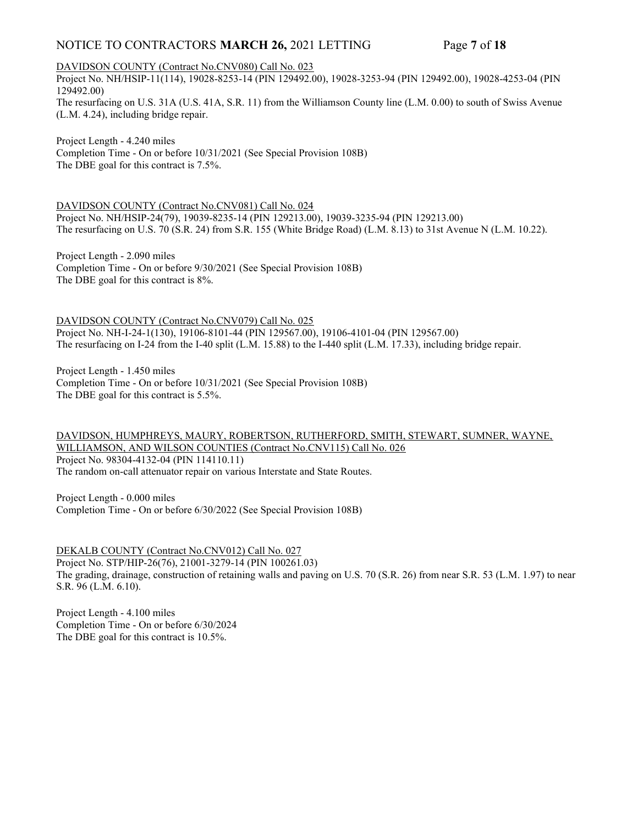# NOTICE TO CONTRACTORS MARCH 26, 2021 LETTING Page 7 of 18

DAVIDSON COUNTY (Contract No.CNV080) Call No. 023

Project No. NH/HSIP-11(114), 19028-8253-14 (PIN 129492.00), 19028-3253-94 (PIN 129492.00), 19028-4253-04 (PIN 129492.00)

The resurfacing on U.S. 31A (U.S. 41A, S.R. 11) from the Williamson County line (L.M. 0.00) to south of Swiss Avenue (L.M. 4.24), including bridge repair.

Project Length - 4.240 miles Completion Time - On or before 10/31/2021 (See Special Provision 108B) The DBE goal for this contract is 7.5%.

DAVIDSON COUNTY (Contract No.CNV081) Call No. 024 Project No. NH/HSIP-24(79), 19039-8235-14 (PIN 129213.00), 19039-3235-94 (PIN 129213.00) The resurfacing on U.S. 70 (S.R. 24) from S.R. 155 (White Bridge Road) (L.M. 8.13) to 31st Avenue N (L.M. 10.22).

Project Length - 2.090 miles Completion Time - On or before 9/30/2021 (See Special Provision 108B) The DBE goal for this contract is 8%.

DAVIDSON COUNTY (Contract No.CNV079) Call No. 025 Project No. NH-I-24-1(130), 19106-8101-44 (PIN 129567.00), 19106-4101-04 (PIN 129567.00) The resurfacing on I-24 from the I-40 split (L.M. 15.88) to the I-440 split (L.M. 17.33), including bridge repair.

Project Length - 1.450 miles Completion Time - On or before 10/31/2021 (See Special Provision 108B) The DBE goal for this contract is 5.5%.

#### DAVIDSON, HUMPHREYS, MAURY, ROBERTSON, RUTHERFORD, SMITH, STEWART, SUMNER, WAYNE, WILLIAMSON, AND WILSON COUNTIES (Contract No.CNV115) Call No. 026 Project No. 98304-4132-04 (PIN 114110.11) The random on-call attenuator repair on various Interstate and State Routes.

Project Length - 0.000 miles

Completion Time - On or before 6/30/2022 (See Special Provision 108B)

DEKALB COUNTY (Contract No.CNV012) Call No. 027 Project No. STP/HIP-26(76), 21001-3279-14 (PIN 100261.03) The grading, drainage, construction of retaining walls and paving on U.S. 70 (S.R. 26) from near S.R. 53 (L.M. 1.97) to near S.R. 96 (L.M. 6.10).

Project Length - 4.100 miles Completion Time - On or before 6/30/2024 The DBE goal for this contract is 10.5%.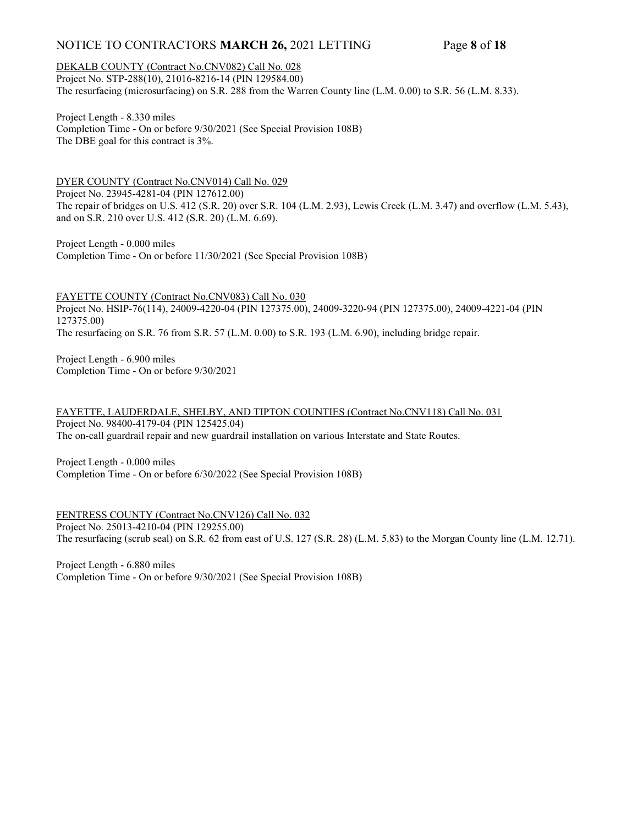# NOTICE TO CONTRACTORS MARCH 26, 2021 LETTING Page 8 of 18

### DEKALB COUNTY (Contract No.CNV082) Call No. 028

Project No. STP-288(10), 21016-8216-14 (PIN 129584.00) The resurfacing (microsurfacing) on S.R. 288 from the Warren County line (L.M. 0.00) to S.R. 56 (L.M. 8.33).

Project Length - 8.330 miles Completion Time - On or before 9/30/2021 (See Special Provision 108B) The DBE goal for this contract is 3%.

DYER COUNTY (Contract No.CNV014) Call No. 029 Project No. 23945-4281-04 (PIN 127612.00) The repair of bridges on U.S. 412 (S.R. 20) over S.R. 104 (L.M. 2.93), Lewis Creek (L.M. 3.47) and overflow (L.M. 5.43), and on S.R. 210 over U.S. 412 (S.R. 20) (L.M. 6.69).

Project Length - 0.000 miles Completion Time - On or before 11/30/2021 (See Special Provision 108B)

FAYETTE COUNTY (Contract No.CNV083) Call No. 030 Project No. HSIP-76(114), 24009-4220-04 (PIN 127375.00), 24009-3220-94 (PIN 127375.00), 24009-4221-04 (PIN 127375.00) The resurfacing on S.R. 76 from S.R. 57 (L.M. 0.00) to S.R. 193 (L.M. 6.90), including bridge repair.

Project Length - 6.900 miles Completion Time - On or before 9/30/2021

FAYETTE, LAUDERDALE, SHELBY, AND TIPTON COUNTIES (Contract No.CNV118) Call No. 031 Project No. 98400-4179-04 (PIN 125425.04) The on-call guardrail repair and new guardrail installation on various Interstate and State Routes.

Project Length - 0.000 miles Completion Time - On or before 6/30/2022 (See Special Provision 108B)

FENTRESS COUNTY (Contract No.CNV126) Call No. 032 Project No. 25013-4210-04 (PIN 129255.00) The resurfacing (scrub seal) on S.R. 62 from east of U.S. 127 (S.R. 28) (L.M. 5.83) to the Morgan County line (L.M. 12.71).

Project Length - 6.880 miles Completion Time - On or before 9/30/2021 (See Special Provision 108B)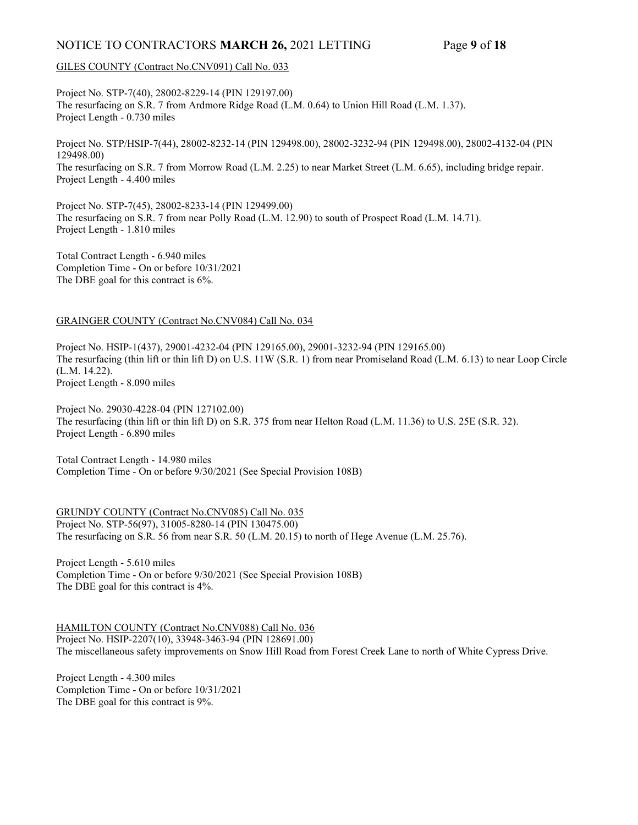# NOTICE TO CONTRACTORS MARCH 26, 2021 LETTING Page 9 of 18

#### GILES COUNTY (Contract No.CNV091) Call No. 033

Project No. STP-7(40), 28002-8229-14 (PIN 129197.00) The resurfacing on S.R. 7 from Ardmore Ridge Road (L.M. 0.64) to Union Hill Road (L.M. 1.37). Project Length - 0.730 miles

Project No. STP/HSIP-7(44), 28002-8232-14 (PIN 129498.00), 28002-3232-94 (PIN 129498.00), 28002-4132-04 (PIN 129498.00) The resurfacing on S.R. 7 from Morrow Road (L.M. 2.25) to near Market Street (L.M. 6.65), including bridge repair. Project Length - 4.400 miles

Project No. STP-7(45), 28002-8233-14 (PIN 129499.00) The resurfacing on S.R. 7 from near Polly Road (L.M. 12.90) to south of Prospect Road (L.M. 14.71). Project Length - 1.810 miles

Total Contract Length - 6.940 miles Completion Time - On or before 10/31/2021 The DBE goal for this contract is 6%.

#### GRAINGER COUNTY (Contract No.CNV084) Call No. 034

Project No. HSIP-1(437), 29001-4232-04 (PIN 129165.00), 29001-3232-94 (PIN 129165.00) The resurfacing (thin lift or thin lift D) on U.S. 11W (S.R. 1) from near Promiseland Road (L.M. 6.13) to near Loop Circle (L.M. 14.22). Project Length - 8.090 miles

Project No. 29030-4228-04 (PIN 127102.00) The resurfacing (thin lift or thin lift D) on S.R. 375 from near Helton Road (L.M. 11.36) to U.S. 25E (S.R. 32). Project Length - 6.890 miles

Total Contract Length - 14.980 miles Completion Time - On or before 9/30/2021 (See Special Provision 108B)

GRUNDY COUNTY (Contract No.CNV085) Call No. 035 Project No. STP-56(97), 31005-8280-14 (PIN 130475.00) The resurfacing on S.R. 56 from near S.R. 50 (L.M. 20.15) to north of Hege Avenue (L.M. 25.76).

Project Length - 5.610 miles Completion Time - On or before 9/30/2021 (See Special Provision 108B) The DBE goal for this contract is 4%.

HAMILTON COUNTY (Contract No.CNV088) Call No. 036 Project No. HSIP-2207(10), 33948-3463-94 (PIN 128691.00) The miscellaneous safety improvements on Snow Hill Road from Forest Creek Lane to north of White Cypress Drive.

Project Length - 4.300 miles Completion Time - On or before 10/31/2021 The DBE goal for this contract is 9%.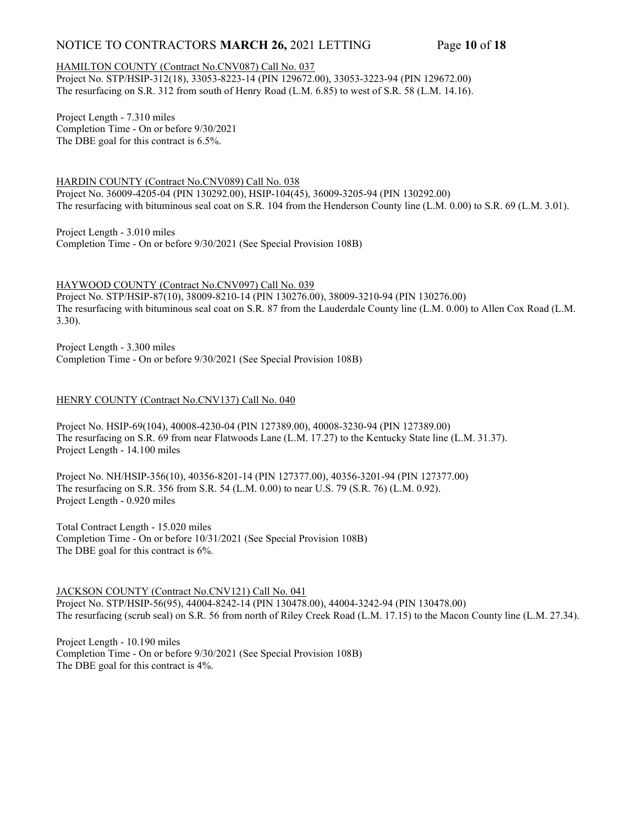# NOTICE TO CONTRACTORS MARCH 26, 2021 LETTING Page 10 of 18

### HAMILTON COUNTY (Contract No.CNV087) Call No. 037

Project No. STP/HSIP-312(18), 33053-8223-14 (PIN 129672.00), 33053-3223-94 (PIN 129672.00) The resurfacing on S.R. 312 from south of Henry Road (L.M. 6.85) to west of S.R. 58 (L.M. 14.16).

Project Length - 7.310 miles Completion Time - On or before 9/30/2021 The DBE goal for this contract is 6.5%.

HARDIN COUNTY (Contract No.CNV089) Call No. 038 Project No. 36009-4205-04 (PIN 130292.00), HSIP-104(45), 36009-3205-94 (PIN 130292.00) The resurfacing with bituminous seal coat on S.R. 104 from the Henderson County line (L.M. 0.00) to S.R. 69 (L.M. 3.01).

Project Length - 3.010 miles Completion Time - On or before 9/30/2021 (See Special Provision 108B)

HAYWOOD COUNTY (Contract No.CNV097) Call No. 039

Project No. STP/HSIP-87(10), 38009-8210-14 (PIN 130276.00), 38009-3210-94 (PIN 130276.00) The resurfacing with bituminous seal coat on S.R. 87 from the Lauderdale County line (L.M. 0.00) to Allen Cox Road (L.M. 3.30).

Project Length - 3.300 miles Completion Time - On or before 9/30/2021 (See Special Provision 108B)

### HENRY COUNTY (Contract No.CNV137) Call No. 040

Project No. HSIP-69(104), 40008-4230-04 (PIN 127389.00), 40008-3230-94 (PIN 127389.00) The resurfacing on S.R. 69 from near Flatwoods Lane (L.M. 17.27) to the Kentucky State line (L.M. 31.37). Project Length - 14.100 miles

Project No. NH/HSIP-356(10), 40356-8201-14 (PIN 127377.00), 40356-3201-94 (PIN 127377.00) The resurfacing on S.R. 356 from S.R. 54 (L.M. 0.00) to near U.S. 79 (S.R. 76) (L.M. 0.92). Project Length - 0.920 miles

Total Contract Length - 15.020 miles Completion Time - On or before 10/31/2021 (See Special Provision 108B) The DBE goal for this contract is 6%.

JACKSON COUNTY (Contract No.CNV121) Call No. 041

Project No. STP/HSIP-56(95), 44004-8242-14 (PIN 130478.00), 44004-3242-94 (PIN 130478.00) The resurfacing (scrub seal) on S.R. 56 from north of Riley Creek Road (L.M. 17.15) to the Macon County line (L.M. 27.34).

Project Length - 10.190 miles Completion Time - On or before 9/30/2021 (See Special Provision 108B) The DBE goal for this contract is 4%.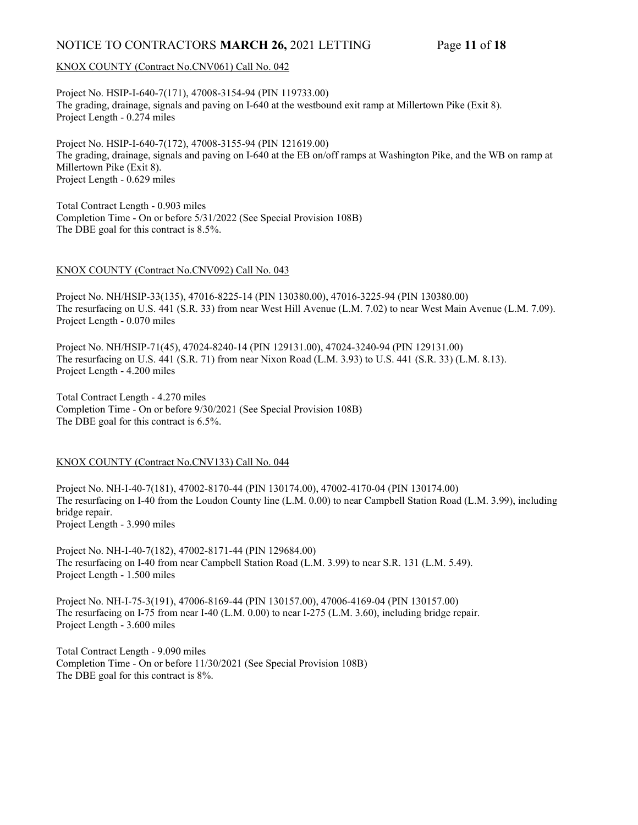# NOTICE TO CONTRACTORS MARCH 26, 2021 LETTING Page 11 of 18

#### KNOX COUNTY (Contract No.CNV061) Call No. 042

Project No. HSIP-I-640-7(171), 47008-3154-94 (PIN 119733.00) The grading, drainage, signals and paving on I-640 at the westbound exit ramp at Millertown Pike (Exit 8). Project Length - 0.274 miles

Project No. HSIP-I-640-7(172), 47008-3155-94 (PIN 121619.00) The grading, drainage, signals and paving on I-640 at the EB on/off ramps at Washington Pike, and the WB on ramp at Millertown Pike (Exit 8). Project Length - 0.629 miles

Total Contract Length - 0.903 miles Completion Time - On or before 5/31/2022 (See Special Provision 108B) The DBE goal for this contract is 8.5%.

#### KNOX COUNTY (Contract No.CNV092) Call No. 043

Project No. NH/HSIP-33(135), 47016-8225-14 (PIN 130380.00), 47016-3225-94 (PIN 130380.00) The resurfacing on U.S. 441 (S.R. 33) from near West Hill Avenue (L.M. 7.02) to near West Main Avenue (L.M. 7.09). Project Length - 0.070 miles

Project No. NH/HSIP-71(45), 47024-8240-14 (PIN 129131.00), 47024-3240-94 (PIN 129131.00) The resurfacing on U.S. 441 (S.R. 71) from near Nixon Road (L.M. 3.93) to U.S. 441 (S.R. 33) (L.M. 8.13). Project Length - 4.200 miles

Total Contract Length - 4.270 miles Completion Time - On or before 9/30/2021 (See Special Provision 108B) The DBE goal for this contract is 6.5%.

#### KNOX COUNTY (Contract No.CNV133) Call No. 044

Project No. NH-I-40-7(181), 47002-8170-44 (PIN 130174.00), 47002-4170-04 (PIN 130174.00) The resurfacing on I-40 from the Loudon County line (L.M. 0.00) to near Campbell Station Road (L.M. 3.99), including bridge repair. Project Length - 3.990 miles

Project No. NH-I-40-7(182), 47002-8171-44 (PIN 129684.00) The resurfacing on I-40 from near Campbell Station Road (L.M. 3.99) to near S.R. 131 (L.M. 5.49). Project Length - 1.500 miles

Project No. NH-I-75-3(191), 47006-8169-44 (PIN 130157.00), 47006-4169-04 (PIN 130157.00) The resurfacing on I-75 from near I-40 (L.M. 0.00) to near I-275 (L.M. 3.60), including bridge repair. Project Length - 3.600 miles

Total Contract Length - 9.090 miles Completion Time - On or before 11/30/2021 (See Special Provision 108B) The DBE goal for this contract is 8%.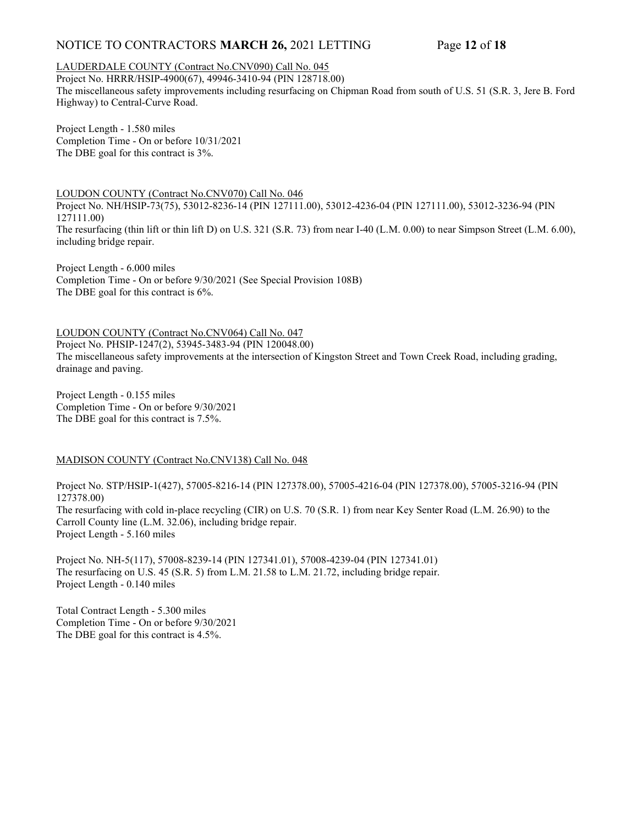# NOTICE TO CONTRACTORS MARCH 26, 2021 LETTING Page 12 of 18

### LAUDERDALE COUNTY (Contract No.CNV090) Call No. 045

Project No. HRRR/HSIP-4900(67), 49946-3410-94 (PIN 128718.00) The miscellaneous safety improvements including resurfacing on Chipman Road from south of U.S. 51 (S.R. 3, Jere B. Ford Highway) to Central-Curve Road.

Project Length - 1.580 miles Completion Time - On or before 10/31/2021 The DBE goal for this contract is 3%.

LOUDON COUNTY (Contract No.CNV070) Call No. 046 Project No. NH/HSIP-73(75), 53012-8236-14 (PIN 127111.00), 53012-4236-04 (PIN 127111.00), 53012-3236-94 (PIN 127111.00) The resurfacing (thin lift or thin lift D) on U.S. 321 (S.R. 73) from near I-40 (L.M. 0.00) to near Simpson Street (L.M. 6.00), including bridge repair.

Project Length - 6.000 miles Completion Time - On or before 9/30/2021 (See Special Provision 108B) The DBE goal for this contract is 6%.

LOUDON COUNTY (Contract No.CNV064) Call No. 047 Project No. PHSIP-1247(2), 53945-3483-94 (PIN 120048.00) The miscellaneous safety improvements at the intersection of Kingston Street and Town Creek Road, including grading, drainage and paving.

Project Length - 0.155 miles Completion Time - On or before 9/30/2021 The DBE goal for this contract is 7.5%.

### MADISON COUNTY (Contract No.CNV138) Call No. 048

Project No. STP/HSIP-1(427), 57005-8216-14 (PIN 127378.00), 57005-4216-04 (PIN 127378.00), 57005-3216-94 (PIN 127378.00) The resurfacing with cold in-place recycling (CIR) on U.S. 70 (S.R. 1) from near Key Senter Road (L.M. 26.90) to the Carroll County line (L.M. 32.06), including bridge repair. Project Length - 5.160 miles

Project No. NH-5(117), 57008-8239-14 (PIN 127341.01), 57008-4239-04 (PIN 127341.01) The resurfacing on U.S. 45 (S.R. 5) from L.M. 21.58 to L.M. 21.72, including bridge repair. Project Length - 0.140 miles

Total Contract Length - 5.300 miles Completion Time - On or before 9/30/2021 The DBE goal for this contract is 4.5%.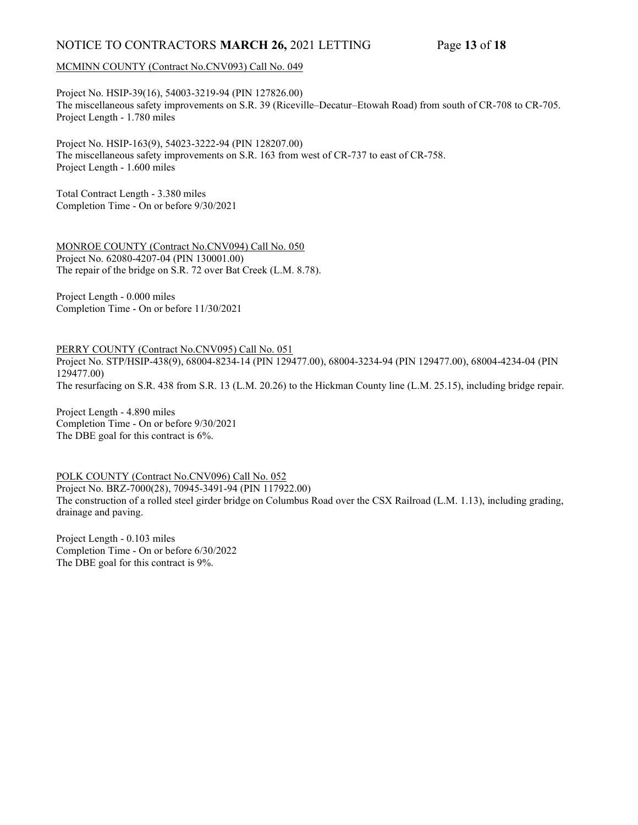# NOTICE TO CONTRACTORS MARCH 26, 2021 LETTING Page 13 of 18

### MCMINN COUNTY (Contract No.CNV093) Call No. 049

Project No. HSIP-39(16), 54003-3219-94 (PIN 127826.00) The miscellaneous safety improvements on S.R. 39 (Riceville–Decatur–Etowah Road) from south of CR-708 to CR-705. Project Length - 1.780 miles

Project No. HSIP-163(9), 54023-3222-94 (PIN 128207.00) The miscellaneous safety improvements on S.R. 163 from west of CR-737 to east of CR-758. Project Length - 1.600 miles

Total Contract Length - 3.380 miles Completion Time - On or before 9/30/2021

MONROE COUNTY (Contract No.CNV094) Call No. 050 Project No. 62080-4207-04 (PIN 130001.00) The repair of the bridge on S.R. 72 over Bat Creek (L.M. 8.78).

Project Length - 0.000 miles Completion Time - On or before 11/30/2021

PERRY COUNTY (Contract No.CNV095) Call No. 051

Project No. STP/HSIP-438(9), 68004-8234-14 (PIN 129477.00), 68004-3234-94 (PIN 129477.00), 68004-4234-04 (PIN 129477.00)

The resurfacing on S.R. 438 from S.R. 13 (L.M. 20.26) to the Hickman County line (L.M. 25.15), including bridge repair.

Project Length - 4.890 miles Completion Time - On or before 9/30/2021 The DBE goal for this contract is 6%.

POLK COUNTY (Contract No.CNV096) Call No. 052 Project No. BRZ-7000(28), 70945-3491-94 (PIN 117922.00) The construction of a rolled steel girder bridge on Columbus Road over the CSX Railroad (L.M. 1.13), including grading, drainage and paving.

Project Length - 0.103 miles Completion Time - On or before 6/30/2022 The DBE goal for this contract is 9%.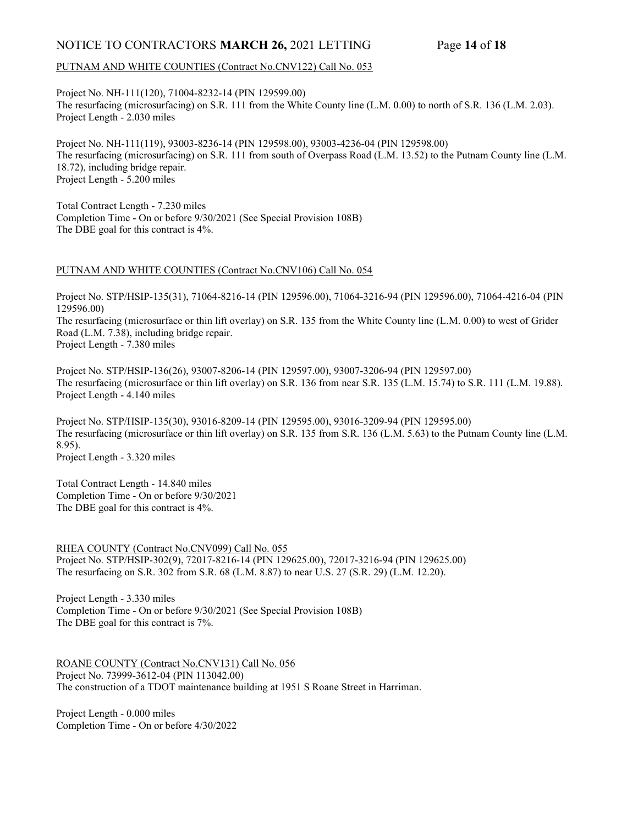# NOTICE TO CONTRACTORS MARCH 26, 2021 LETTING Page 14 of 18

#### PUTNAM AND WHITE COUNTIES (Contract No.CNV122) Call No. 053

Project No. NH-111(120), 71004-8232-14 (PIN 129599.00) The resurfacing (microsurfacing) on S.R. 111 from the White County line (L.M. 0.00) to north of S.R. 136 (L.M. 2.03). Project Length - 2.030 miles

Project No. NH-111(119), 93003-8236-14 (PIN 129598.00), 93003-4236-04 (PIN 129598.00) The resurfacing (microsurfacing) on S.R. 111 from south of Overpass Road (L.M. 13.52) to the Putnam County line (L.M. 18.72), including bridge repair. Project Length - 5.200 miles

Total Contract Length - 7.230 miles Completion Time - On or before 9/30/2021 (See Special Provision 108B) The DBE goal for this contract is 4%.

#### PUTNAM AND WHITE COUNTIES (Contract No.CNV106) Call No. 054

Project No. STP/HSIP-135(31), 71064-8216-14 (PIN 129596.00), 71064-3216-94 (PIN 129596.00), 71064-4216-04 (PIN 129596.00)

The resurfacing (microsurface or thin lift overlay) on S.R. 135 from the White County line (L.M. 0.00) to west of Grider Road (L.M. 7.38), including bridge repair.

Project Length - 7.380 miles

Project No. STP/HSIP-136(26), 93007-8206-14 (PIN 129597.00), 93007-3206-94 (PIN 129597.00) The resurfacing (microsurface or thin lift overlay) on S.R. 136 from near S.R. 135 (L.M. 15.74) to S.R. 111 (L.M. 19.88). Project Length - 4.140 miles

Project No. STP/HSIP-135(30), 93016-8209-14 (PIN 129595.00), 93016-3209-94 (PIN 129595.00) The resurfacing (microsurface or thin lift overlay) on S.R. 135 from S.R. 136 (L.M. 5.63) to the Putnam County line (L.M. 8.95). Project Length - 3.320 miles

Total Contract Length - 14.840 miles Completion Time - On or before 9/30/2021 The DBE goal for this contract is 4%.

RHEA COUNTY (Contract No.CNV099) Call No. 055 Project No. STP/HSIP-302(9), 72017-8216-14 (PIN 129625.00), 72017-3216-94 (PIN 129625.00) The resurfacing on S.R. 302 from S.R. 68 (L.M. 8.87) to near U.S. 27 (S.R. 29) (L.M. 12.20).

Project Length - 3.330 miles Completion Time - On or before 9/30/2021 (See Special Provision 108B) The DBE goal for this contract is 7%.

ROANE COUNTY (Contract No.CNV131) Call No. 056 Project No. 73999-3612-04 (PIN 113042.00) The construction of a TDOT maintenance building at 1951 S Roane Street in Harriman.

Project Length - 0.000 miles Completion Time - On or before 4/30/2022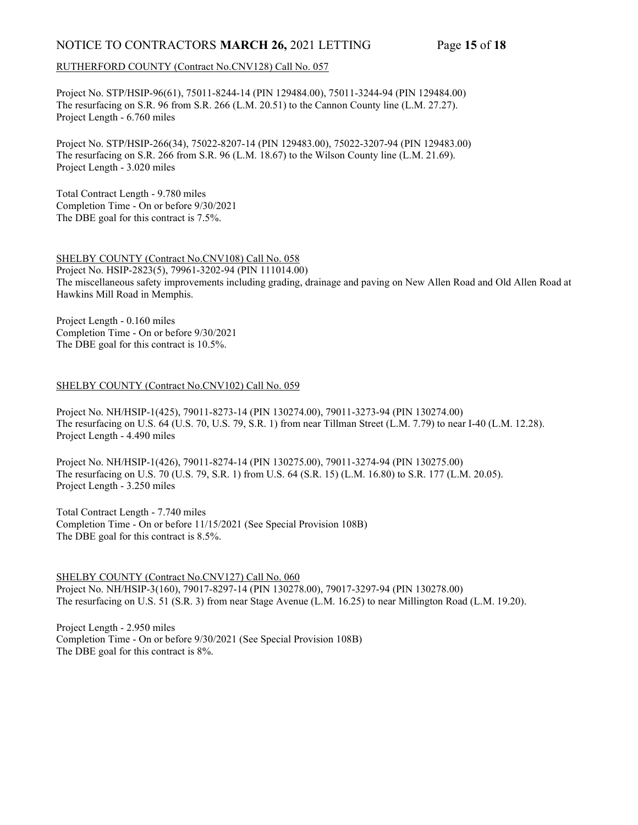# NOTICE TO CONTRACTORS MARCH 26, 2021 LETTING Page 15 of 18

### RUTHERFORD COUNTY (Contract No.CNV128) Call No. 057

Project No. STP/HSIP-96(61), 75011-8244-14 (PIN 129484.00), 75011-3244-94 (PIN 129484.00) The resurfacing on S.R. 96 from S.R. 266 (L.M. 20.51) to the Cannon County line (L.M. 27.27). Project Length - 6.760 miles

Project No. STP/HSIP-266(34), 75022-8207-14 (PIN 129483.00), 75022-3207-94 (PIN 129483.00) The resurfacing on S.R. 266 from S.R. 96 (L.M. 18.67) to the Wilson County line (L.M. 21.69). Project Length - 3.020 miles

Total Contract Length - 9.780 miles Completion Time - On or before 9/30/2021 The DBE goal for this contract is 7.5%.

### SHELBY COUNTY (Contract No.CNV108) Call No. 058

Project No. HSIP-2823(5), 79961-3202-94 (PIN 111014.00) The miscellaneous safety improvements including grading, drainage and paving on New Allen Road and Old Allen Road at Hawkins Mill Road in Memphis.

Project Length - 0.160 miles Completion Time - On or before 9/30/2021 The DBE goal for this contract is 10.5%.

#### SHELBY COUNTY (Contract No.CNV102) Call No. 059

Project No. NH/HSIP-1(425), 79011-8273-14 (PIN 130274.00), 79011-3273-94 (PIN 130274.00) The resurfacing on U.S. 64 (U.S. 70, U.S. 79, S.R. 1) from near Tillman Street (L.M. 7.79) to near I-40 (L.M. 12.28). Project Length - 4.490 miles

Project No. NH/HSIP-1(426), 79011-8274-14 (PIN 130275.00), 79011-3274-94 (PIN 130275.00) The resurfacing on U.S. 70 (U.S. 79, S.R. 1) from U.S. 64 (S.R. 15) (L.M. 16.80) to S.R. 177 (L.M. 20.05). Project Length - 3.250 miles

Total Contract Length - 7.740 miles Completion Time - On or before 11/15/2021 (See Special Provision 108B) The DBE goal for this contract is 8.5%.

SHELBY COUNTY (Contract No.CNV127) Call No. 060 Project No. NH/HSIP-3(160), 79017-8297-14 (PIN 130278.00), 79017-3297-94 (PIN 130278.00) The resurfacing on U.S. 51 (S.R. 3) from near Stage Avenue (L.M. 16.25) to near Millington Road (L.M. 19.20).

Project Length - 2.950 miles Completion Time - On or before 9/30/2021 (See Special Provision 108B) The DBE goal for this contract is 8%.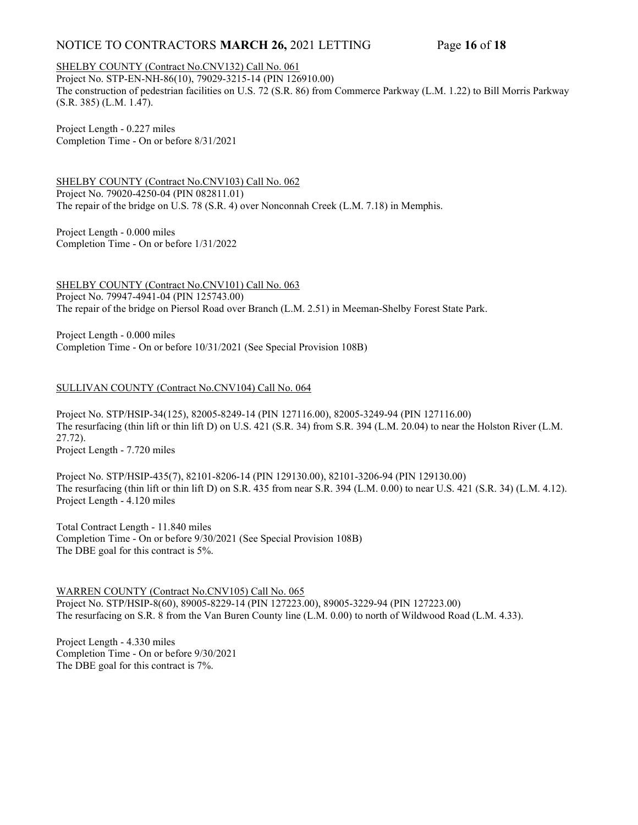# NOTICE TO CONTRACTORS MARCH 26, 2021 LETTING Page 16 of 18

### SHELBY COUNTY (Contract No.CNV132) Call No. 061

Project No. STP-EN-NH-86(10), 79029-3215-14 (PIN 126910.00) The construction of pedestrian facilities on U.S. 72 (S.R. 86) from Commerce Parkway (L.M. 1.22) to Bill Morris Parkway (S.R. 385) (L.M. 1.47).

Project Length - 0.227 miles Completion Time - On or before 8/31/2021

SHELBY COUNTY (Contract No.CNV103) Call No. 062 Project No. 79020-4250-04 (PIN 082811.01) The repair of the bridge on U.S. 78 (S.R. 4) over Nonconnah Creek (L.M. 7.18) in Memphis.

Project Length - 0.000 miles Completion Time - On or before 1/31/2022

SHELBY COUNTY (Contract No.CNV101) Call No. 063 Project No. 79947-4941-04 (PIN 125743.00) The repair of the bridge on Piersol Road over Branch (L.M. 2.51) in Meeman-Shelby Forest State Park.

Project Length - 0.000 miles Completion Time - On or before 10/31/2021 (See Special Provision 108B)

### SULLIVAN COUNTY (Contract No.CNV104) Call No. 064

Project No. STP/HSIP-34(125), 82005-8249-14 (PIN 127116.00), 82005-3249-94 (PIN 127116.00) The resurfacing (thin lift or thin lift D) on U.S. 421 (S.R. 34) from S.R. 394 (L.M. 20.04) to near the Holston River (L.M. 27.72). Project Length - 7.720 miles

Project No. STP/HSIP-435(7), 82101-8206-14 (PIN 129130.00), 82101-3206-94 (PIN 129130.00) The resurfacing (thin lift or thin lift D) on S.R. 435 from near S.R. 394 (L.M. 0.00) to near U.S. 421 (S.R. 34) (L.M. 4.12). Project Length - 4.120 miles

Total Contract Length - 11.840 miles Completion Time - On or before 9/30/2021 (See Special Provision 108B) The DBE goal for this contract is 5%.

### WARREN COUNTY (Contract No.CNV105) Call No. 065

Project No. STP/HSIP-8(60), 89005-8229-14 (PIN 127223.00), 89005-3229-94 (PIN 127223.00) The resurfacing on S.R. 8 from the Van Buren County line (L.M. 0.00) to north of Wildwood Road (L.M. 4.33).

Project Length - 4.330 miles Completion Time - On or before 9/30/2021 The DBE goal for this contract is 7%.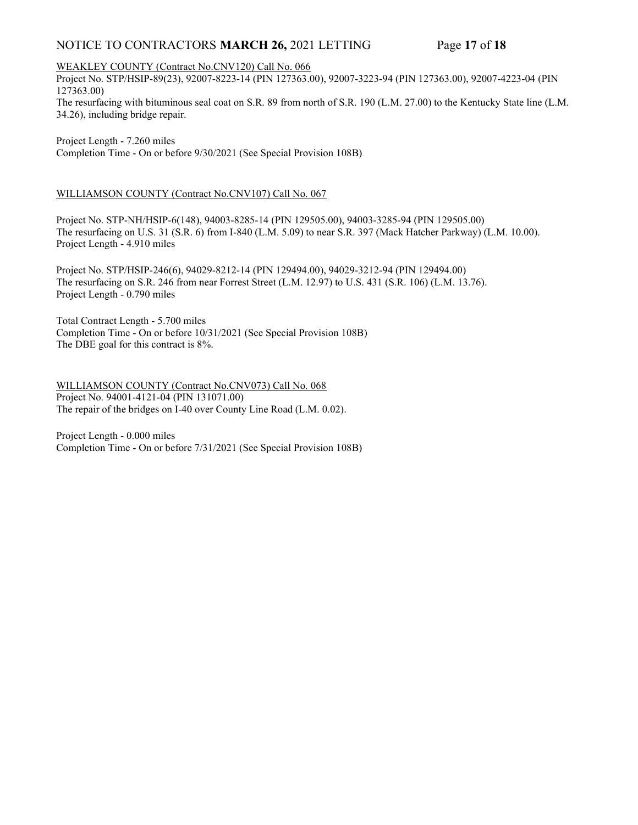# NOTICE TO CONTRACTORS MARCH 26, 2021 LETTING Page 17 of 18

WEAKLEY COUNTY (Contract No.CNV120) Call No. 066

Project No. STP/HSIP-89(23), 92007-8223-14 (PIN 127363.00), 92007-3223-94 (PIN 127363.00), 92007-4223-04 (PIN 127363.00)

The resurfacing with bituminous seal coat on S.R. 89 from north of S.R. 190 (L.M. 27.00) to the Kentucky State line (L.M. 34.26), including bridge repair.

Project Length - 7.260 miles Completion Time - On or before 9/30/2021 (See Special Provision 108B)

### WILLIAMSON COUNTY (Contract No.CNV107) Call No. 067

Project No. STP-NH/HSIP-6(148), 94003-8285-14 (PIN 129505.00), 94003-3285-94 (PIN 129505.00) The resurfacing on U.S. 31 (S.R. 6) from I-840 (L.M. 5.09) to near S.R. 397 (Mack Hatcher Parkway) (L.M. 10.00). Project Length - 4.910 miles

Project No. STP/HSIP-246(6), 94029-8212-14 (PIN 129494.00), 94029-3212-94 (PIN 129494.00) The resurfacing on S.R. 246 from near Forrest Street (L.M. 12.97) to U.S. 431 (S.R. 106) (L.M. 13.76). Project Length - 0.790 miles

Total Contract Length - 5.700 miles Completion Time - On or before 10/31/2021 (See Special Provision 108B) The DBE goal for this contract is 8%.

WILLIAMSON COUNTY (Contract No.CNV073) Call No. 068 Project No. 94001-4121-04 (PIN 131071.00) The repair of the bridges on I-40 over County Line Road (L.M. 0.02).

Project Length - 0.000 miles Completion Time - On or before 7/31/2021 (See Special Provision 108B)